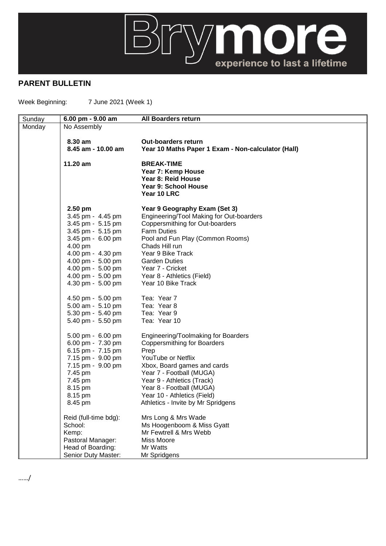

## **PARENT BULLETIN**

Week Beginning: 7 June 2021 (Week 1)

| Sunday | 6.00 pm - 9.00 am                      | <b>All Boarders return</b>                              |
|--------|----------------------------------------|---------------------------------------------------------|
| Monday | No Assembly                            |                                                         |
|        | 8.30 am                                | <b>Out-boarders return</b>                              |
|        | 8.45 am - 10.00 am                     | Year 10 Maths Paper 1 Exam - Non-calculator (Hall)      |
|        |                                        |                                                         |
|        | 11.20 am                               | <b>BREAK-TIME</b>                                       |
|        |                                        | Year 7: Kemp House<br>Year 8: Reid House                |
|        |                                        | <b>Year 9: School House</b>                             |
|        |                                        | Year 10 LRC                                             |
|        | $2.50$ pm                              | Year 9 Geography Exam (Set 3)                           |
|        | 3.45 pm - 4.45 pm                      | Engineering/Tool Making for Out-boarders                |
|        | 3.45 pm - 5.15 pm                      | Coppersmithing for Out-boarders                         |
|        | 3.45 pm - 5.15 pm                      | <b>Farm Duties</b>                                      |
|        | 3.45 pm - 6.00 pm                      | Pool and Fun Play (Common Rooms)                        |
|        | 4.00 pm                                | Chads Hill run                                          |
|        | 4.00 pm - 4.30 pm                      | Year 9 Bike Track                                       |
|        | 4.00 pm - 5.00 pm                      | <b>Garden Duties</b>                                    |
|        | 4.00 pm - 5.00 pm                      | Year 7 - Cricket                                        |
|        | 4.00 pm - 5.00 pm<br>4.30 pm - 5.00 pm | Year 8 - Athletics (Field)<br>Year 10 Bike Track        |
|        |                                        |                                                         |
|        | 4.50 pm - 5.00 pm                      | Tea: Year 7                                             |
|        | 5.00 am - 5.10 pm                      | Tea: Year 8                                             |
|        | 5.30 pm - 5.40 pm                      | Tea: Year 9                                             |
|        | 5.40 pm - 5.50 pm                      | Tea: Year 10                                            |
|        | 5.00 pm - 6.00 pm                      | Engineering/Toolmaking for Boarders                     |
|        | 6.00 pm - 7.30 pm                      | <b>Coppersmithing for Boarders</b>                      |
|        | 6.15 pm - 7.15 pm                      | Prep                                                    |
|        | 7.15 pm - 9.00 pm<br>7.15 pm - 9.00 pm | YouTube or Netflix                                      |
|        | 7.45 pm                                | Xbox, Board games and cards<br>Year 7 - Football (MUGA) |
|        | 7.45 pm                                | Year 9 - Athletics (Track)                              |
|        | 8.15 pm                                | Year 8 - Football (MUGA)                                |
|        | 8.15 pm                                | Year 10 - Athletics (Field)                             |
|        | 8.45 pm                                | Athletics - Invite by Mr Spridgens                      |
|        | Reid (full-time bdg):                  | Mrs Long & Mrs Wade                                     |
|        | School:                                | Ms Hoogenboom & Miss Gyatt                              |
|        | Kemp:                                  | Mr Fewtrell & Mrs Webb                                  |
|        | Pastoral Manager:                      | Miss Moore                                              |
|        | Head of Boarding:                      | Mr Watts                                                |
|        | Senior Duty Master:                    | Mr Spridgens                                            |

……/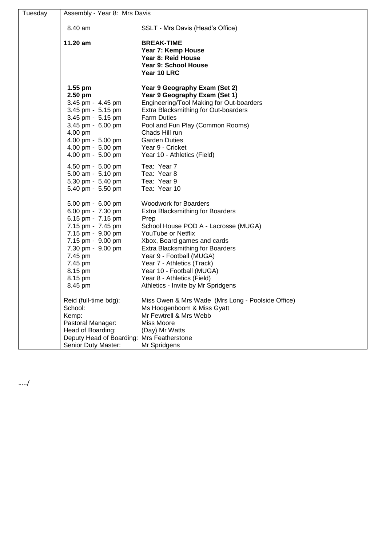| Tuesday | Assembly - Year 8: Mrs Davis                                                                                                                                                                           |                                                                                                                                                                                                                                                                                                                                                                                    |  |
|---------|--------------------------------------------------------------------------------------------------------------------------------------------------------------------------------------------------------|------------------------------------------------------------------------------------------------------------------------------------------------------------------------------------------------------------------------------------------------------------------------------------------------------------------------------------------------------------------------------------|--|
|         | 8.40 am                                                                                                                                                                                                | SSLT - Mrs Davis (Head's Office)                                                                                                                                                                                                                                                                                                                                                   |  |
|         | 11.20 am                                                                                                                                                                                               | <b>BREAK-TIME</b><br>Year 7: Kemp House<br>Year 8: Reid House<br>Year 9: School House<br>Year 10 LRC                                                                                                                                                                                                                                                                               |  |
|         | $1.55$ pm<br>2.50 pm<br>3.45 pm - 4.45 pm<br>3.45 pm - 5.15 pm<br>3.45 pm - 5.15 pm<br>3.45 pm - 6.00 pm<br>4.00 pm<br>4.00 pm - 5.00 pm<br>4.00 pm - 5.00 pm<br>4.00 pm - 5.00 pm                     | Year 9 Geography Exam (Set 2)<br>Year 9 Geography Exam (Set 1)<br>Engineering/Tool Making for Out-boarders<br>Extra Blacksmithing for Out-boarders<br><b>Farm Duties</b><br>Pool and Fun Play (Common Rooms)<br>Chads Hill run<br><b>Garden Duties</b><br>Year 9 - Cricket<br>Year 10 - Athletics (Field)                                                                          |  |
|         | 4.50 pm - 5.00 pm<br>5.00 am - 5.10 pm<br>5.30 pm - 5.40 pm<br>5.40 pm - 5.50 pm                                                                                                                       | Tea: Year 7<br>Tea: Year 8<br>Tea: Year 9<br>Tea: Year 10                                                                                                                                                                                                                                                                                                                          |  |
|         | 5.00 pm - 6.00 pm<br>6.00 pm - 7.30 pm<br>6.15 pm - 7.15 pm<br>7.15 pm - 7.45 pm<br>7.15 pm - 9.00 pm<br>7.15 pm - 9.00 pm<br>7.30 pm - 9.00 pm<br>7.45 pm<br>7.45 pm<br>8.15 pm<br>8.15 pm<br>8.45 pm | <b>Woodwork for Boarders</b><br><b>Extra Blacksmithing for Boarders</b><br>Prep<br>School House POD A - Lacrosse (MUGA)<br>YouTube or Netflix<br>Xbox, Board games and cards<br><b>Extra Blacksmithing for Boarders</b><br>Year 9 - Football (MUGA)<br>Year 7 - Athletics (Track)<br>Year 10 - Football (MUGA)<br>Year 8 - Athletics (Field)<br>Athletics - Invite by Mr Spridgens |  |
|         | Reid (full-time bdg):<br>School:<br>Kemp:<br>Pastoral Manager:<br>Head of Boarding:<br>Deputy Head of Boarding:<br>Senior Duty Master:                                                                 | Miss Owen & Mrs Wade (Mrs Long - Poolside Office)<br>Ms Hoogenboom & Miss Gyatt<br>Mr Fewtrell & Mrs Webb<br>Miss Moore<br>(Day) Mr Watts<br>Mrs Featherstone<br>Mr Spridgens                                                                                                                                                                                                      |  |

…../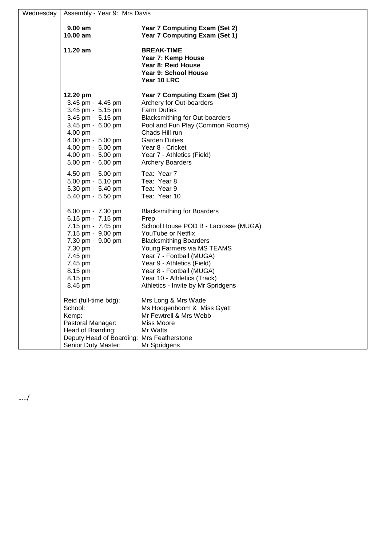| Wednesday | Assembly - Year 9: Mrs Davis |                                       |
|-----------|------------------------------|---------------------------------------|
|           |                              |                                       |
|           | $9.00 a$ m                   | Year 7 Computing Exam (Set 2)         |
|           | 10.00 am                     | <b>Year 7 Computing Exam (Set 1)</b>  |
|           | 11.20 am                     | <b>BREAK-TIME</b>                     |
|           |                              | Year 7: Kemp House                    |
|           |                              | Year 8: Reid House                    |
|           |                              | Year 9: School House                  |
|           |                              | Year 10 LRC                           |
|           | 12.20 pm                     | <b>Year 7 Computing Exam (Set 3)</b>  |
|           | 3.45 pm - 4.45 pm            | Archery for Out-boarders              |
|           | 3.45 pm - 5.15 pm            | <b>Farm Duties</b>                    |
|           | 3.45 pm - 5.15 pm            | <b>Blacksmithing for Out-boarders</b> |
|           | 3.45 pm - 6.00 pm            | Pool and Fun Play (Common Rooms)      |
|           | 4.00 pm                      | Chads Hill run                        |
|           | 4.00 pm - 5.00 pm            | <b>Garden Duties</b>                  |
|           | 4.00 pm - 5.00 pm            | Year 8 - Cricket                      |
|           | 4.00 pm - 5.00 pm            | Year 7 - Athletics (Field)            |
|           | 5.00 pm - 6.00 pm            | <b>Archery Boarders</b>               |
|           | 4.50 pm - 5.00 pm            | Tea: Year 7                           |
|           | 5.00 pm - 5.10 pm            | Tea: Year 8                           |
|           | 5.30 pm - 5.40 pm            | Tea: Year 9                           |
|           | 5.40 pm - 5.50 pm            | Tea: Year 10                          |
|           | 6.00 pm - 7.30 pm            | <b>Blacksmithing for Boarders</b>     |
|           | 6.15 pm - 7.15 pm            | Prep                                  |
|           | 7.15 pm - 7.45 pm            | School House POD B - Lacrosse (MUGA)  |
|           | 7.15 pm - 9.00 pm            | YouTube or Netflix                    |
|           | 7.30 pm - 9.00 pm            | <b>Blacksmithing Boarders</b>         |
|           | 7.30 pm                      | Young Farmers via MS TEAMS            |
|           | 7.45 pm                      | Year 7 - Football (MUGA)              |
|           | 7.45 pm                      | Year 9 - Athletics (Field)            |
|           | 8.15 pm                      | Year 8 - Football (MUGA)              |
|           | 8.15 pm                      | Year 10 - Athletics (Track)           |
|           | 8.45 pm                      | Athletics - Invite by Mr Spridgens    |
|           | Reid (full-time bdg):        | Mrs Long & Mrs Wade                   |
|           | School:                      | Ms Hoogenboom & Miss Gyatt            |
|           | Kemp:                        | Mr Fewtrell & Mrs Webb                |
|           | Pastoral Manager:            | Miss Moore                            |
|           | Head of Boarding:            | Mr Watts                              |
|           | Deputy Head of Boarding:     | <b>Mrs Featherstone</b>               |
|           | Senior Duty Master:          | Mr Spridgens                          |

…../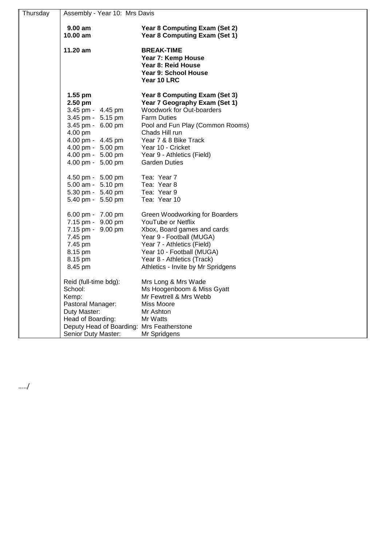| Thursday | Assembly - Year 10: Mrs Davis             |                                                                                                      |  |
|----------|-------------------------------------------|------------------------------------------------------------------------------------------------------|--|
|          | 9.00 am                                   | Year 8 Computing Exam (Set 2)                                                                        |  |
|          | 10.00 am                                  | Year 8 Computing Exam (Set 1)                                                                        |  |
|          | $11.20 \text{ am}$                        | <b>BREAK-TIME</b><br>Year 7: Kemp House<br>Year 8: Reid House<br>Year 9: School House<br>Year 10 LRC |  |
|          | 1.55 pm                                   | <b>Year 8 Computing Exam (Set 3)</b>                                                                 |  |
|          | 2.50 pm                                   | Year 7 Geography Exam (Set 1)                                                                        |  |
|          | 3.45 pm - 4.45 pm                         | Woodwork for Out-boarders                                                                            |  |
|          | 3.45 pm - 5.15 pm                         | <b>Farm Duties</b>                                                                                   |  |
|          | 3.45 pm - 6.00 pm                         | Pool and Fun Play (Common Rooms)                                                                     |  |
|          | 4.00 pm                                   | Chads Hill run                                                                                       |  |
|          | 4.00 pm - 4.45 pm                         | Year 7 & 8 Bike Track                                                                                |  |
|          | 4.00 pm - 5.00 pm                         | Year 10 - Cricket                                                                                    |  |
|          | 4.00 pm - 5.00 pm<br>4.00 pm - 5.00 pm    | Year 9 - Athletics (Field)<br><b>Garden Duties</b>                                                   |  |
|          |                                           |                                                                                                      |  |
|          | 4.50 pm - 5.00 pm                         | Tea: Year 7                                                                                          |  |
|          | 5.00 am - 5.10 pm                         | Tea: Year 8                                                                                          |  |
|          | 5.30 pm - 5.40 pm                         | Tea: Year 9                                                                                          |  |
|          | 5.40 pm - 5.50 pm                         | Tea: Year 10                                                                                         |  |
|          | 6.00 pm - 7.00 pm                         | Green Woodworking for Boarders                                                                       |  |
|          | 7.15 pm - 9.00 pm                         | YouTube or Netflix                                                                                   |  |
|          | 7.15 pm - 9.00 pm                         | Xbox, Board games and cards                                                                          |  |
|          | 7.45 pm                                   | Year 9 - Football (MUGA)                                                                             |  |
|          | 7.45 pm                                   | Year 7 - Athletics (Field)                                                                           |  |
|          | 8.15 pm<br>8.15 pm                        | Year 10 - Football (MUGA)<br>Year 8 - Athletics (Track)                                              |  |
|          | 8.45 pm                                   | Athletics - Invite by Mr Spridgens                                                                   |  |
|          |                                           |                                                                                                      |  |
|          | Reid (full-time bdg):                     | Mrs Long & Mrs Wade                                                                                  |  |
|          | School:                                   | Ms Hoogenboom & Miss Gyatt                                                                           |  |
|          | Kemp:                                     | Mr Fewtrell & Mrs Webb                                                                               |  |
|          | Pastoral Manager:                         | Miss Moore                                                                                           |  |
|          | Duty Master:                              | Mr Ashton                                                                                            |  |
|          | Head of Boarding:                         | Mr Watts                                                                                             |  |
|          | Deputy Head of Boarding: Mrs Featherstone |                                                                                                      |  |
|          | Senior Duty Master:                       | Mr Spridgens                                                                                         |  |

…../